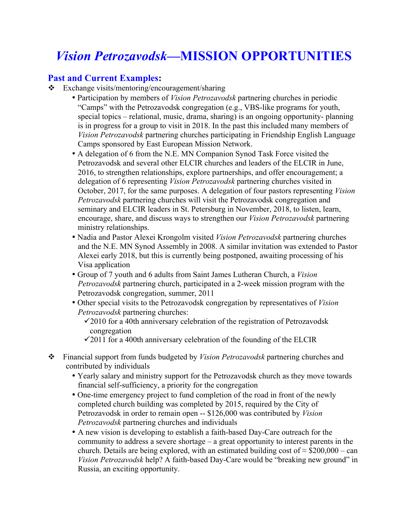## *Vision Petrozavodsk***—MISSION OPPORTUNITIES**

## **Past and Current Examples:**

- $\div$  Exchange visits/mentoring/encouragement/sharing
	- Participation by members of *Vision Petrozavodsk* partnering churches in periodic "Camps" with the Petrozavodsk congregation (e.g., VBS-like programs for youth, special topics – relational, music, drama, sharing) is an ongoing opportunity- planning is in progress for a group to visit in 2018. In the past this included many members of *Vision Petrozavodsk* partnering churches participating in Friendship English Language Camps sponsored by East European Mission Network.
	- A delegation of 6 from the N.E. MN Companion Synod Task Force visited the Petrozavodsk and several other ELCIR churches and leaders of the ELCIR in June, 2016, to strengthen relationships, explore partnerships, and offer encouragement; a delegation of 6 representing *Vision Petrozavodsk* partnering churches visited in October, 2017, for the same purposes. A delegation of four pastors representing *Vision Petrozavodsk* partnering churches will visit the Petrozavodsk congregation and seminary and ELCIR leaders in St. Petersburg in November, 2018, to listen, learn, encourage, share, and discuss ways to strengthen our *Vision Petrozavodsk* partnering ministry relationships.
	- Nadia and Pastor Alexei Krongolm visited *Vision Petrozavodsk* partnering churches and the N.E. MN Synod Assembly in 2008. A similar invitation was extended to Pastor Alexei early 2018, but this is currently being postponed, awaiting processing of his Visa application
	- Group of 7 youth and 6 adults from Saint James Lutheran Church, a *Vision Petrozavodsk* partnering church, participated in a 2-week mission program with the Petrozavodsk congregation, summer, 2011
	- Other special visits to the Petrozavodsk congregation by representatives of *Vision Petrozavodsk* partnering churches:
		- $\checkmark$ 2010 for a 40th anniversary celebration of the registration of Petrozavodsk congregation
		- $\checkmark$  2011 for a 400th anniversary celebration of the founding of the ELCIR
- v Financial support from funds budgeted by *Vision Petrozavodsk* partnering churches and contributed by individuals
	- Yearly salary and ministry support for the Petrozavodsk church as they move towards financial self-sufficiency, a priority for the congregation
	- One-time emergency project to fund completion of the road in front of the newly completed church building was completed by 2015, required by the City of Petrozavodsk in order to remain open -- \$126,000 was contributed by *Vision Petrozavodsk* partnering churches and individuals
	- A new vision is developing to establish a faith-based Day-Care outreach for the community to address a severe shortage – a great opportunity to interest parents in the church. Details are being explored, with an estimated building cost of  $\approx$  \$200,000 – can *Vision Petrozavodsk* help? A faith-based Day-Care would be "breaking new ground" in Russia, an exciting opportunity.